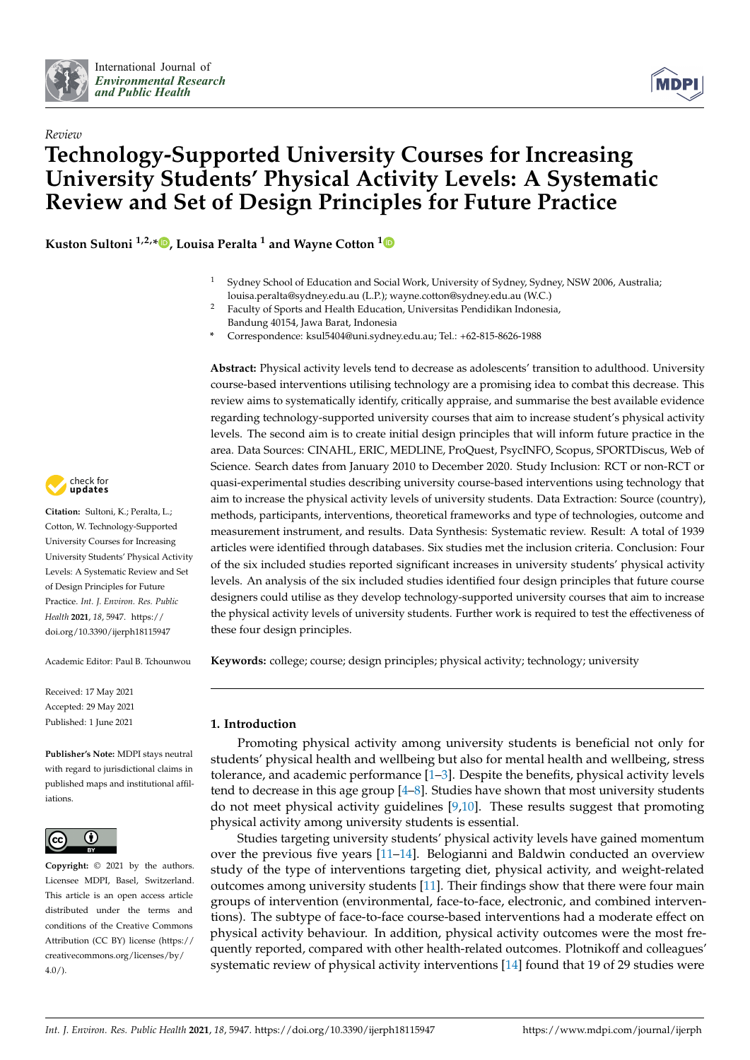



# *Review* **Technology-Supported University Courses for Increasing University Students' Physical Activity Levels: A Systematic Review and Set of Design Principles for Future Practice**

**Kuston Sultoni 1,2,\* [,](https://orcid.org/0000-0002-5458-6997) Louisa Peralta <sup>1</sup> and Wayne Cotton [1](https://orcid.org/0000-0002-8581-6679)**

- <sup>1</sup> Sydney School of Education and Social Work, University of Sydney, Sydney, NSW 2006, Australia; louisa.peralta@sydney.edu.au (L.P.); wayne.cotton@sydney.edu.au (W.C.)
- <sup>2</sup> Faculty of Sports and Health Education, Universitas Pendidikan Indonesia, Bandung 40154, Jawa Barat, Indonesia
- **\*** Correspondence: ksul5404@uni.sydney.edu.au; Tel.: +62-815-8626-1988

**Abstract:** Physical activity levels tend to decrease as adolescents' transition to adulthood. University course-based interventions utilising technology are a promising idea to combat this decrease. This review aims to systematically identify, critically appraise, and summarise the best available evidence regarding technology-supported university courses that aim to increase student's physical activity levels. The second aim is to create initial design principles that will inform future practice in the area. Data Sources: CINAHL, ERIC, MEDLINE, ProQuest, PsycINFO, Scopus, SPORTDiscus, Web of Science. Search dates from January 2010 to December 2020. Study Inclusion: RCT or non-RCT or quasi-experimental studies describing university course-based interventions using technology that aim to increase the physical activity levels of university students. Data Extraction: Source (country), methods, participants, interventions, theoretical frameworks and type of technologies, outcome and measurement instrument, and results. Data Synthesis: Systematic review. Result: A total of 1939 articles were identified through databases. Six studies met the inclusion criteria. Conclusion: Four of the six included studies reported significant increases in university students' physical activity levels. An analysis of the six included studies identified four design principles that future course designers could utilise as they develop technology-supported university courses that aim to increase the physical activity levels of university students. Further work is required to test the effectiveness of these four design principles.

**Keywords:** college; course; design principles; physical activity; technology; university

# **1. Introduction**

Promoting physical activity among university students is beneficial not only for students' physical health and wellbeing but also for mental health and wellbeing, stress tolerance, and academic performance [\[1–](#page-14-0)[3\]](#page-14-1). Despite the benefits, physical activity levels tend to decrease in this age group [\[4](#page-14-2)[–8\]](#page-14-3). Studies have shown that most university students do not meet physical activity guidelines [\[9,](#page-14-4)[10\]](#page-14-5). These results suggest that promoting physical activity among university students is essential.

Studies targeting university students' physical activity levels have gained momentum over the previous five years [\[11](#page-14-6)[–14\]](#page-14-7). Belogianni and Baldwin conducted an overview study of the type of interventions targeting diet, physical activity, and weight-related outcomes among university students [\[11\]](#page-14-6). Their findings show that there were four main groups of intervention (environmental, face-to-face, electronic, and combined interventions). The subtype of face-to-face course-based interventions had a moderate effect on physical activity behaviour. In addition, physical activity outcomes were the most frequently reported, compared with other health-related outcomes. Plotnikoff and colleagues' systematic review of physical activity interventions [\[14\]](#page-14-7) found that 19 of 29 studies were



**Citation:** Sultoni, K.; Peralta, L.; Cotton, W. Technology-Supported University Courses for Increasing University Students' Physical Activity Levels: A Systematic Review and Set of Design Principles for Future Practice. *Int. J. Environ. Res. Public Health* **2021**, *18*, 5947. [https://](https://doi.org/10.3390/ijerph18115947) [doi.org/10.3390/ijerph18115947](https://doi.org/10.3390/ijerph18115947)

Academic Editor: Paul B. Tchounwou

Received: 17 May 2021 Accepted: 29 May 2021 Published: 1 June 2021

**Publisher's Note:** MDPI stays neutral with regard to jurisdictional claims in published maps and institutional affiliations.



**Copyright:** © 2021 by the authors. Licensee MDPI, Basel, Switzerland. This article is an open access article distributed under the terms and conditions of the Creative Commons Attribution (CC BY) license (https:/[/](https://creativecommons.org/licenses/by/4.0/) [creativecommons.org/licenses/by/](https://creativecommons.org/licenses/by/4.0/) 4.0/).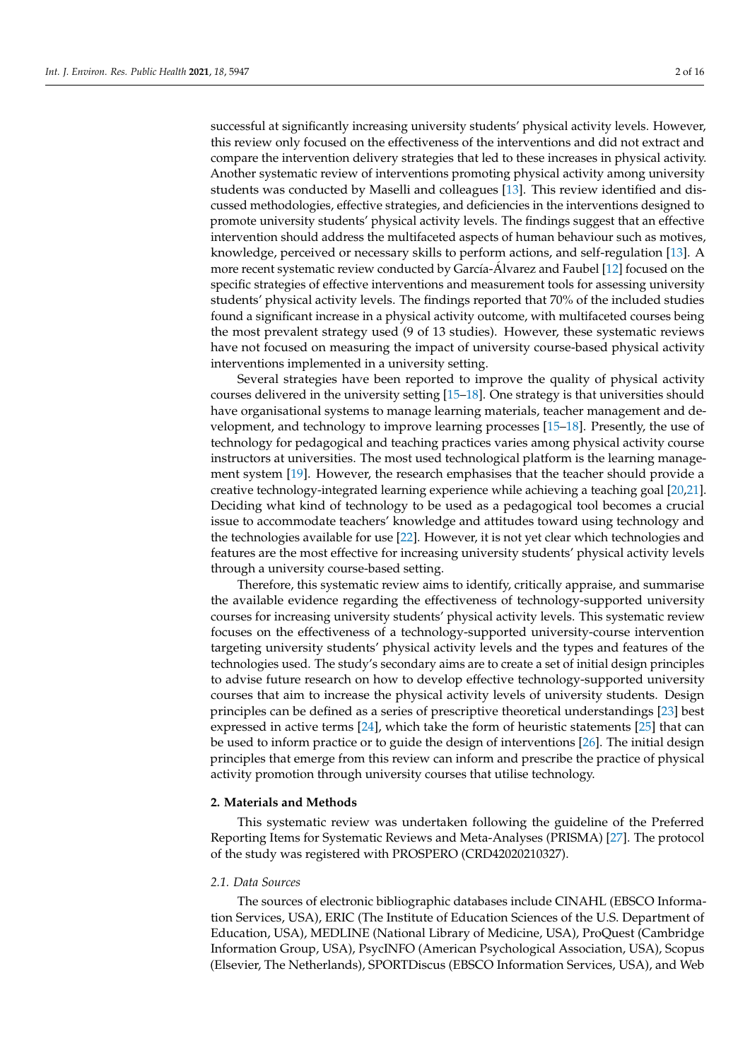successful at significantly increasing university students' physical activity levels. However, this review only focused on the effectiveness of the interventions and did not extract and compare the intervention delivery strategies that led to these increases in physical activity. Another systematic review of interventions promoting physical activity among university students was conducted by Maselli and colleagues [\[13\]](#page-14-8). This review identified and discussed methodologies, effective strategies, and deficiencies in the interventions designed to promote university students' physical activity levels. The findings suggest that an effective intervention should address the multifaceted aspects of human behaviour such as motives, knowledge, perceived or necessary skills to perform actions, and self-regulation [\[13\]](#page-14-8). A more recent systematic review conducted by García-Álvarez and Faubel [\[12\]](#page-14-9) focused on the specific strategies of effective interventions and measurement tools for assessing university students' physical activity levels. The findings reported that 70% of the included studies found a significant increase in a physical activity outcome, with multifaceted courses being the most prevalent strategy used (9 of 13 studies). However, these systematic reviews have not focused on measuring the impact of university course-based physical activity interventions implemented in a university setting.

Several strategies have been reported to improve the quality of physical activity courses delivered in the university setting [\[15](#page-14-10)[–18\]](#page-14-11). One strategy is that universities should have organisational systems to manage learning materials, teacher management and development, and technology to improve learning processes [\[15](#page-14-10)[–18\]](#page-14-11). Presently, the use of technology for pedagogical and teaching practices varies among physical activity course instructors at universities. The most used technological platform is the learning management system [\[19\]](#page-14-12). However, the research emphasises that the teacher should provide a creative technology-integrated learning experience while achieving a teaching goal [\[20](#page-14-13)[,21\]](#page-14-14). Deciding what kind of technology to be used as a pedagogical tool becomes a crucial issue to accommodate teachers' knowledge and attitudes toward using technology and the technologies available for use [\[22\]](#page-14-15). However, it is not yet clear which technologies and features are the most effective for increasing university students' physical activity levels through a university course-based setting.

Therefore, this systematic review aims to identify, critically appraise, and summarise the available evidence regarding the effectiveness of technology-supported university courses for increasing university students' physical activity levels. This systematic review focuses on the effectiveness of a technology-supported university-course intervention targeting university students' physical activity levels and the types and features of the technologies used. The study's secondary aims are to create a set of initial design principles to advise future research on how to develop effective technology-supported university courses that aim to increase the physical activity levels of university students. Design principles can be defined as a series of prescriptive theoretical understandings [\[23\]](#page-14-16) best expressed in active terms [\[24\]](#page-14-17), which take the form of heuristic statements [\[25\]](#page-14-18) that can be used to inform practice or to guide the design of interventions [\[26\]](#page-14-19). The initial design principles that emerge from this review can inform and prescribe the practice of physical activity promotion through university courses that utilise technology.

# **2. Materials and Methods**

This systematic review was undertaken following the guideline of the Preferred Reporting Items for Systematic Reviews and Meta-Analyses (PRISMA) [\[27\]](#page-14-20). The protocol of the study was registered with PROSPERO (CRD42020210327).

#### *2.1. Data Sources*

The sources of electronic bibliographic databases include CINAHL (EBSCO Information Services, USA), ERIC (The Institute of Education Sciences of the U.S. Department of Education, USA), MEDLINE (National Library of Medicine, USA), ProQuest (Cambridge Information Group, USA), PsycINFO (American Psychological Association, USA), Scopus (Elsevier, The Netherlands), SPORTDiscus (EBSCO Information Services, USA), and Web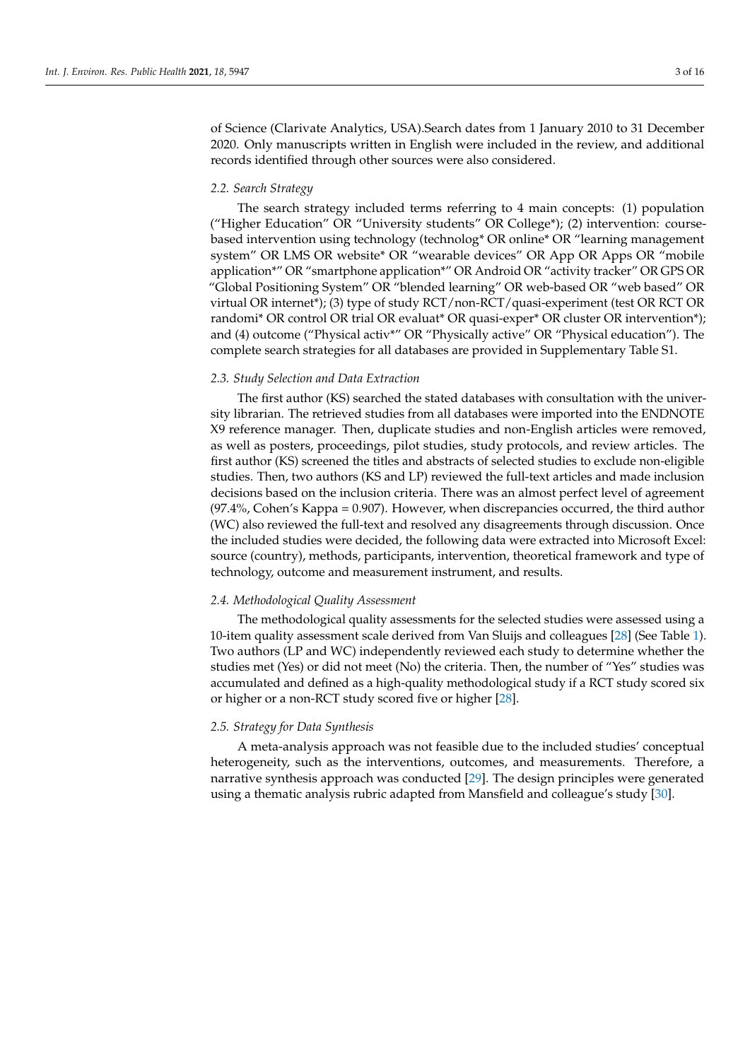of Science (Clarivate Analytics, USA).Search dates from 1 January 2010 to 31 December 2020. Only manuscripts written in English were included in the review, and additional records identified through other sources were also considered.

#### *2.2. Search Strategy*

The search strategy included terms referring to 4 main concepts: (1) population ("Higher Education" OR "University students" OR College\*); (2) intervention: coursebased intervention using technology (technolog\* OR online\* OR "learning management system" OR LMS OR website\* OR "wearable devices" OR App OR Apps OR "mobile application\*" OR "smartphone application\*" OR Android OR "activity tracker" OR GPS OR "Global Positioning System" OR "blended learning" OR web-based OR "web based" OR virtual OR internet\*); (3) type of study RCT/non-RCT/quasi-experiment (test OR RCT OR randomi\* OR control OR trial OR evaluat\* OR quasi-exper\* OR cluster OR intervention\*); and (4) outcome ("Physical activ\*" OR "Physically active" OR "Physical education"). The complete search strategies for all databases are provided in Supplementary Table S1.

## *2.3. Study Selection and Data Extraction*

The first author (KS) searched the stated databases with consultation with the university librarian. The retrieved studies from all databases were imported into the ENDNOTE X9 reference manager. Then, duplicate studies and non-English articles were removed, as well as posters, proceedings, pilot studies, study protocols, and review articles. The first author (KS) screened the titles and abstracts of selected studies to exclude non-eligible studies. Then, two authors (KS and LP) reviewed the full-text articles and made inclusion decisions based on the inclusion criteria. There was an almost perfect level of agreement (97.4%, Cohen's Kappa = 0.907). However, when discrepancies occurred, the third author (WC) also reviewed the full-text and resolved any disagreements through discussion. Once the included studies were decided, the following data were extracted into Microsoft Excel: source (country), methods, participants, intervention, theoretical framework and type of technology, outcome and measurement instrument, and results.

# *2.4. Methodological Quality Assessment*

The methodological quality assessments for the selected studies were assessed using a 10-item quality assessment scale derived from Van Sluijs and colleagues [\[28\]](#page-14-21) (See Table [1\)](#page-3-0). Two authors (LP and WC) independently reviewed each study to determine whether the studies met (Yes) or did not meet (No) the criteria. Then, the number of "Yes" studies was accumulated and defined as a high-quality methodological study if a RCT study scored six or higher or a non-RCT study scored five or higher [\[28\]](#page-14-21).

# *2.5. Strategy for Data Synthesis*

A meta-analysis approach was not feasible due to the included studies' conceptual heterogeneity, such as the interventions, outcomes, and measurements. Therefore, a narrative synthesis approach was conducted [\[29\]](#page-15-0). The design principles were generated using a thematic analysis rubric adapted from Mansfield and colleague's study [\[30\]](#page-15-1).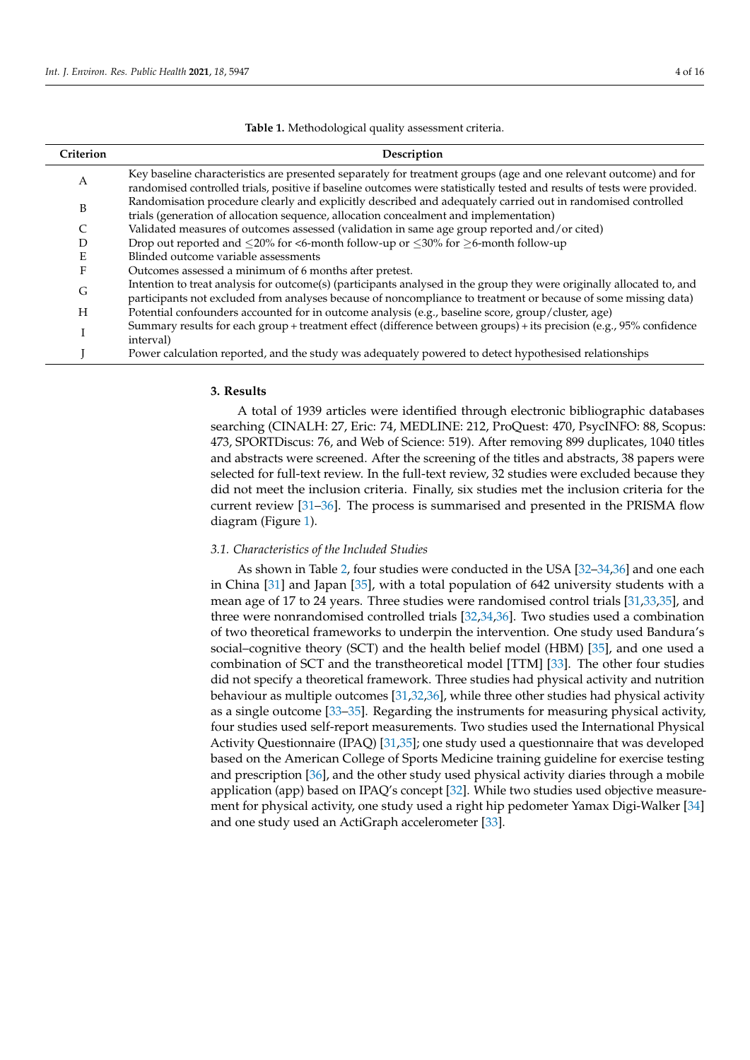#### **Table 1.** Methodological quality assessment criteria.

<span id="page-3-0"></span>

| Criterion | Description                                                                                                                                                                                                                                    |
|-----------|------------------------------------------------------------------------------------------------------------------------------------------------------------------------------------------------------------------------------------------------|
| A         | Key baseline characteristics are presented separately for treatment groups (age and one relevant outcome) and for<br>randomised controlled trials, positive if baseline outcomes were statistically tested and results of tests were provided. |
| B         | Randomisation procedure clearly and explicitly described and adequately carried out in randomised controlled<br>trials (generation of allocation sequence, allocation concealment and implementation)                                          |
|           | Validated measures of outcomes assessed (validation in same age group reported and/or cited)                                                                                                                                                   |
| D         | Drop out reported and $\leq$ 20% for <6-month follow-up or $\leq$ 30% for $\geq$ 6-month follow-up                                                                                                                                             |
| E         | Blinded outcome variable assessments                                                                                                                                                                                                           |
| F         | Outcomes assessed a minimum of 6 months after pretest.                                                                                                                                                                                         |
| G         | Intention to treat analysis for outcome(s) (participants analysed in the group they were originally allocated to, and<br>participants not excluded from analyses because of noncompliance to treatment or because of some missing data)        |
| H         | Potential confounders accounted for in outcome analysis (e.g., baseline score, group/cluster, age)                                                                                                                                             |
|           | Summary results for each group + treatment effect (difference between groups) + its precision (e.g., 95% confidence<br>interval)                                                                                                               |
|           | Power calculation reported, and the study was adequately powered to detect hypothesised relationships                                                                                                                                          |

#### **3. Results**

A total of 1939 articles were identified through electronic bibliographic databases searching (CINALH: 27, Eric: 74, MEDLINE: 212, ProQuest: 470, PsycINFO: 88, Scopus: 473, SPORTDiscus: 76, and Web of Science: 519). After removing 899 duplicates, 1040 titles and abstracts were screened. After the screening of the titles and abstracts, 38 papers were selected for full-text review. In the full-text review, 32 studies were excluded because they did not meet the inclusion criteria. Finally, six studies met the inclusion criteria for the current review [\[31–](#page-15-2)[36\]](#page-15-3). The process is summarised and presented in the PRISMA flow diagram (Figure [1\)](#page-4-0).

#### *3.1. Characteristics of the Included Studies*

As shown in Table [2,](#page-6-0) four studies were conducted in the USA [\[32](#page-15-4)[–34](#page-15-5)[,36\]](#page-15-3) and one each in China [\[31\]](#page-15-2) and Japan [\[35\]](#page-15-6), with a total population of 642 university students with a mean age of 17 to 24 years. Three studies were randomised control trials [\[31,](#page-15-2)[33,](#page-15-7)[35\]](#page-15-6), and three were nonrandomised controlled trials [\[32,](#page-15-4)[34,](#page-15-5)[36\]](#page-15-3). Two studies used a combination of two theoretical frameworks to underpin the intervention. One study used Bandura's social–cognitive theory (SCT) and the health belief model (HBM) [\[35\]](#page-15-6), and one used a combination of SCT and the transtheoretical model [TTM] [\[33\]](#page-15-7). The other four studies did not specify a theoretical framework. Three studies had physical activity and nutrition behaviour as multiple outcomes [\[31,](#page-15-2)[32](#page-15-4)[,36\]](#page-15-3), while three other studies had physical activity as a single outcome [\[33](#page-15-7)[–35\]](#page-15-6). Regarding the instruments for measuring physical activity, four studies used self-report measurements. Two studies used the International Physical Activity Questionnaire (IPAQ) [\[31](#page-15-2)[,35\]](#page-15-6); one study used a questionnaire that was developed based on the American College of Sports Medicine training guideline for exercise testing and prescription [\[36\]](#page-15-3), and the other study used physical activity diaries through a mobile application (app) based on IPAQ's concept [\[32\]](#page-15-4). While two studies used objective measurement for physical activity, one study used a right hip pedometer Yamax Digi-Walker [\[34\]](#page-15-5) and one study used an ActiGraph accelerometer [\[33\]](#page-15-7).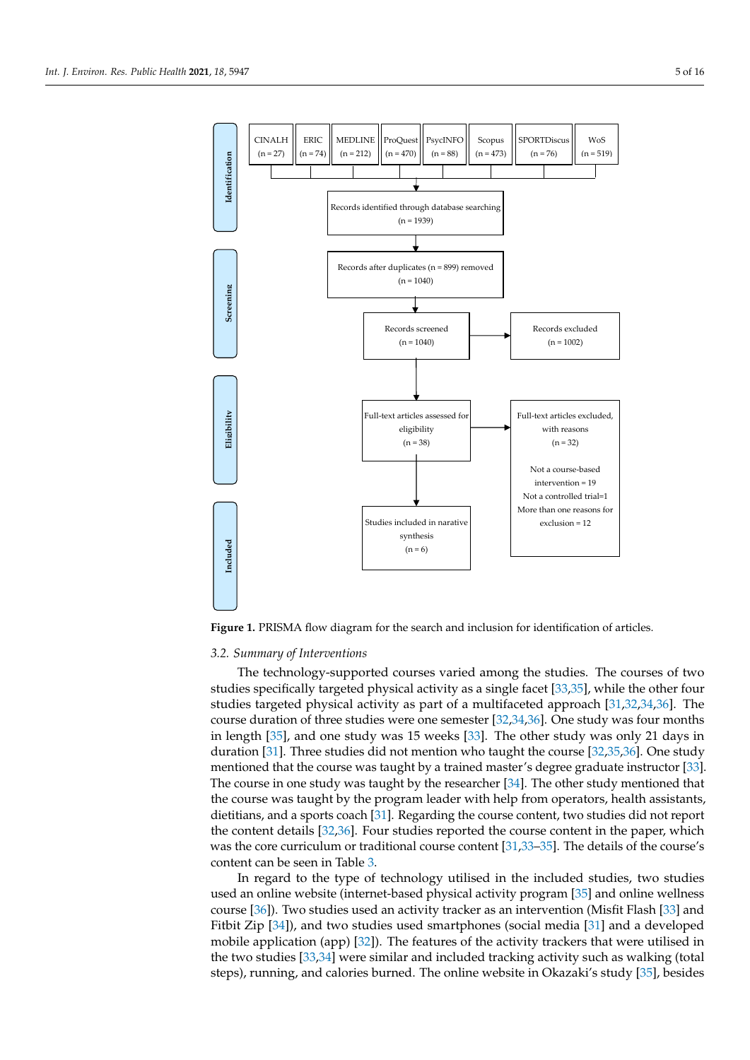<span id="page-4-0"></span>

*Int. J. Environ. Res. Public Health* **2021**, *18*, 5947 5 of 18

**Figure 1.** PRISMA flow diagram for the search and inclusion for identification of articles. **Figure 1.** PRISMA flow diagram for the search and inclusion for identification of articles.

# *3.2. Summary of Interventions 3.2. Summary of Interventions*

The technology-supported courses varied among the studies. The courses of two The technology-supported courses varied among the studies. The courses of two studies specifically targeted physical activity as a single facet [33,35], while the other four studies specifically targeted physical activity as a single facet [\[33](#page-15-7)[,35\]](#page-15-6), while the other four  $\frac{1}{2}$ studies targeted physical activity as part of a multifaceted approach  $[31,32]$ studies targeted physical activity as part of a multifaceted approach [\[31,](#page-15-2)[32,](#page-15-4)[34,](#page-15-5)[36\]](#page-15-3). The course duration of three studies were one semester [\[32](#page-15-4)[,34](#page-15-5)[,36\]](#page-15-3). One study was four months in length [\[35\]](#page-15-6), and one study was 15 weeks [\[33\]](#page-15-7). The other study was only 21 days in duration [\[31\]](#page-15-2). Three studies did not mention who taught the course [\[32](#page-15-4)[,35](#page-15-6)[,36\]](#page-15-3). One study mentioned that the course was taught by a trained master's degree graduate instructor [\[33\]](#page-15-7). The course in one study was taught by the researcher [\[34\]](#page-15-5). The other study mentioned that  $t_1$  and coach  $\alpha$  sports coach  $\alpha$  sports content, the course coach  $\alpha$ the course was taught by the program leader with help from operators, health assistants, dietitians, and a sports coach [\[31\]](#page-15-2). Regarding the course content, two studies did not report the content details [\[32,](#page-15-4)[36\]](#page-15-3). Four studies reported the course content in the paper, which was the core curriculum or traditional course content [\[31](#page-15-2)[,33–](#page-15-7)[35\]](#page-15-6). The details of the course's content can be seen in Table [3.](#page-8-0)

In regard to the type of technology utilised in the included studies, two studies used an online website (internet-based physical activity program [\[35\]](#page-15-6) and online wellness course [\[36\]](#page-15-3)). Two studies used an activity tracker as an intervention (Misfit Flash [\[33\]](#page-15-7) and Fitbit Zip [\[34\]](#page-15-5)), and two studies used smartphones (social media [\[31\]](#page-15-2) and a developed mobile application (app) [\[32\]](#page-15-4)). The features of the activity trackers that were utilised in the two studies [\[33,](#page-15-7)[34\]](#page-15-5) were similar and included tracking activity such as walking (total steps), running, and calories burned. The online website in Okazaki's study [\[35\]](#page-15-6), besides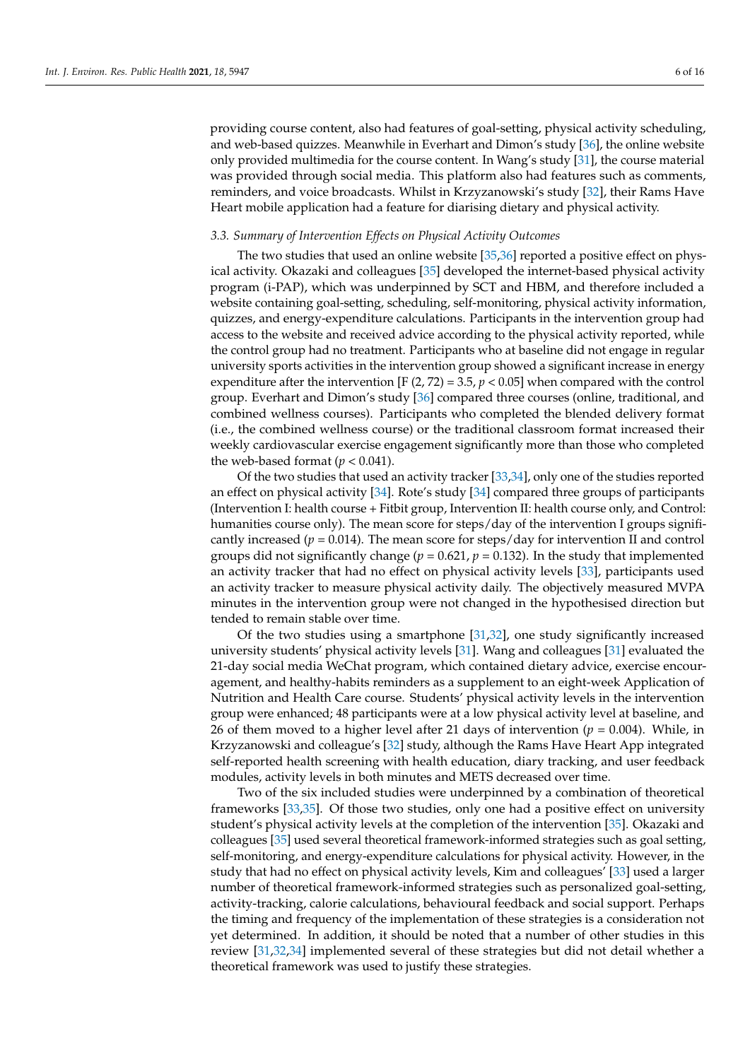providing course content, also had features of goal-setting, physical activity scheduling, and web-based quizzes. Meanwhile in Everhart and Dimon's study [\[36\]](#page-15-3), the online website only provided multimedia for the course content. In Wang's study [\[31\]](#page-15-2), the course material was provided through social media. This platform also had features such as comments, reminders, and voice broadcasts. Whilst in Krzyzanowski's study [\[32\]](#page-15-4), their Rams Have Heart mobile application had a feature for diarising dietary and physical activity.

#### *3.3. Summary of Intervention Effects on Physical Activity Outcomes*

The two studies that used an online website [\[35,](#page-15-6)[36\]](#page-15-3) reported a positive effect on physical activity. Okazaki and colleagues [\[35\]](#page-15-6) developed the internet-based physical activity program (i-PAP), which was underpinned by SCT and HBM, and therefore included a website containing goal-setting, scheduling, self-monitoring, physical activity information, quizzes, and energy-expenditure calculations. Participants in the intervention group had access to the website and received advice according to the physical activity reported, while the control group had no treatment. Participants who at baseline did not engage in regular university sports activities in the intervention group showed a significant increase in energy expenditure after the intervention [F  $(2, 72) = 3.5$ ,  $p < 0.05$ ] when compared with the control group. Everhart and Dimon's study [\[36\]](#page-15-3) compared three courses (online, traditional, and combined wellness courses). Participants who completed the blended delivery format (i.e., the combined wellness course) or the traditional classroom format increased their weekly cardiovascular exercise engagement significantly more than those who completed the web-based format  $(p < 0.041)$ .

Of the two studies that used an activity tracker [\[33,](#page-15-7)[34\]](#page-15-5), only one of the studies reported an effect on physical activity [\[34\]](#page-15-5). Rote's study [\[34\]](#page-15-5) compared three groups of participants (Intervention I: health course + Fitbit group, Intervention II: health course only, and Control: humanities course only). The mean score for steps/day of the intervention I groups significantly increased ( $p = 0.014$ ). The mean score for steps/day for intervention II and control groups did not significantly change ( $p = 0.621$ ,  $p = 0.132$ ). In the study that implemented an activity tracker that had no effect on physical activity levels [\[33\]](#page-15-7), participants used an activity tracker to measure physical activity daily. The objectively measured MVPA minutes in the intervention group were not changed in the hypothesised direction but tended to remain stable over time.

Of the two studies using a smartphone [\[31,](#page-15-2)[32\]](#page-15-4), one study significantly increased university students' physical activity levels [\[31\]](#page-15-2). Wang and colleagues [\[31\]](#page-15-2) evaluated the 21-day social media WeChat program, which contained dietary advice, exercise encouragement, and healthy-habits reminders as a supplement to an eight-week Application of Nutrition and Health Care course. Students' physical activity levels in the intervention group were enhanced; 48 participants were at a low physical activity level at baseline, and 26 of them moved to a higher level after 21 days of intervention  $(p = 0.004)$ . While, in Krzyzanowski and colleague's [\[32\]](#page-15-4) study, although the Rams Have Heart App integrated self-reported health screening with health education, diary tracking, and user feedback modules, activity levels in both minutes and METS decreased over time.

Two of the six included studies were underpinned by a combination of theoretical frameworks [\[33,](#page-15-7)[35\]](#page-15-6). Of those two studies, only one had a positive effect on university student's physical activity levels at the completion of the intervention [\[35\]](#page-15-6). Okazaki and colleagues [\[35\]](#page-15-6) used several theoretical framework-informed strategies such as goal setting, self-monitoring, and energy-expenditure calculations for physical activity. However, in the study that had no effect on physical activity levels, Kim and colleagues' [\[33\]](#page-15-7) used a larger number of theoretical framework-informed strategies such as personalized goal-setting, activity-tracking, calorie calculations, behavioural feedback and social support. Perhaps the timing and frequency of the implementation of these strategies is a consideration not yet determined. In addition, it should be noted that a number of other studies in this review [\[31,](#page-15-2)[32,](#page-15-4)[34\]](#page-15-5) implemented several of these strategies but did not detail whether a theoretical framework was used to justify these strategies.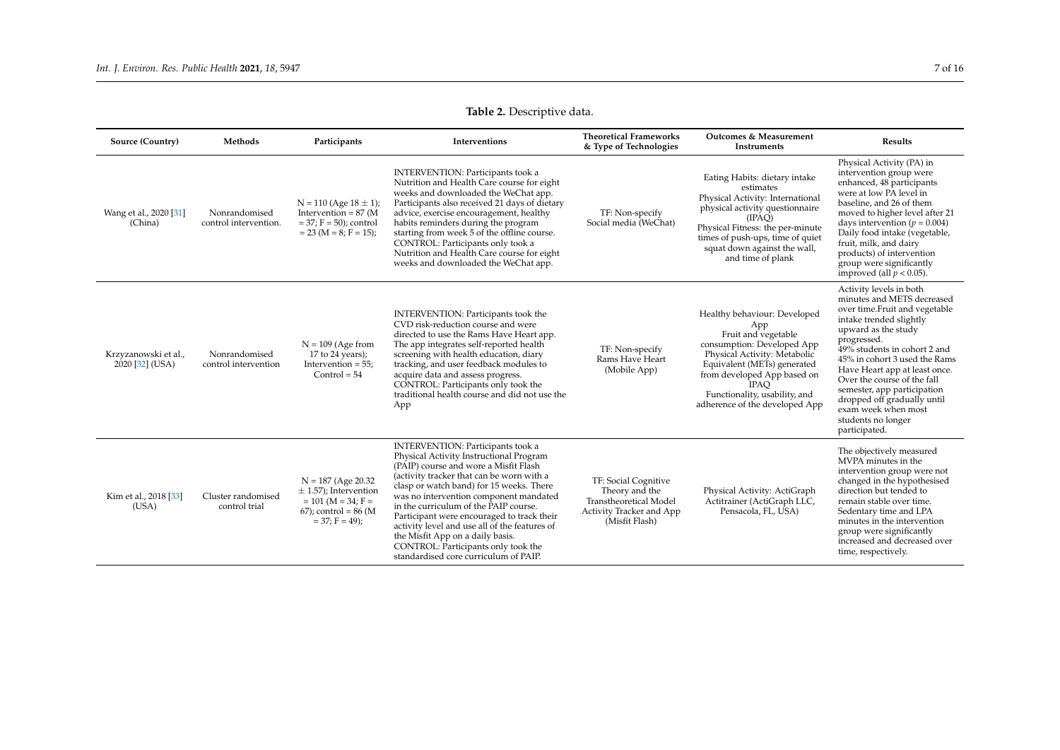<span id="page-6-0"></span>

| Source (Country)                        | Methods                                | Participants                                                                                                             | Interventions                                                                                                                                                                                                                                                                                                                                                                                                                                                                                                               | <b>Theoretical Frameworks</b><br>& Type of Technologies                                                        | <b>Outcomes &amp; Measurement</b><br>Instruments                                                                                                                                                                                                                         | <b>Results</b>                                                                                                                                                                                                                                                                                                                                                                                                       |
|-----------------------------------------|----------------------------------------|--------------------------------------------------------------------------------------------------------------------------|-----------------------------------------------------------------------------------------------------------------------------------------------------------------------------------------------------------------------------------------------------------------------------------------------------------------------------------------------------------------------------------------------------------------------------------------------------------------------------------------------------------------------------|----------------------------------------------------------------------------------------------------------------|--------------------------------------------------------------------------------------------------------------------------------------------------------------------------------------------------------------------------------------------------------------------------|----------------------------------------------------------------------------------------------------------------------------------------------------------------------------------------------------------------------------------------------------------------------------------------------------------------------------------------------------------------------------------------------------------------------|
| Wang et al., 2020 [31]<br>(China)       | Nonrandomised<br>control intervention. | $N = 110$ (Age $18 \pm 1$ );<br>Intervention = $87$ (M<br>$= 37; F = 50$ ; control<br>$= 23$ (M = 8; F = 15);            | <b>INTERVENTION: Participants took a</b><br>Nutrition and Health Care course for eight<br>weeks and downloaded the WeChat app.<br>Participants also received 21 days of dietary<br>advice, exercise encouragement, healthy<br>habits reminders during the program<br>starting from week 5 of the offline course.<br>CONTROL: Participants only took a<br>Nutrition and Health Care course for eight<br>weeks and downloaded the WeChat app.                                                                                 | TF: Non-specify<br>Social media (WeChat)                                                                       | Eating Habits: dietary intake<br>estimates<br>Physical Activity: International<br>physical activity questionnaire<br>(IPAQ)<br>Physical Fitness: the per-minute<br>times of push-ups, time of quiet<br>squat down against the wall,<br>and time of plank                 | Physical Activity (PA) in<br>intervention group were<br>enhanced, 48 participants<br>were at low PA level in<br>baseline, and 26 of them<br>moved to higher level after 21<br>days intervention ( $p = 0.004$ )<br>Daily food intake (vegetable,<br>fruit, milk, and dairy<br>products) of intervention<br>group were significantly<br>improved (all $p < 0.05$ ).                                                   |
| Krzyzanowski et al.,<br>2020 [32] (USA) | Nonrandomised<br>control intervention  | $N = 109$ (Age from<br>17 to 24 years);<br>Intervention $= 55$ ;<br>$Control = 54$                                       | <b>INTERVENTION: Participants took the</b><br>CVD risk-reduction course and were<br>directed to use the Rams Have Heart app.<br>The app integrates self-reported health<br>screening with health education, diary<br>tracking, and user feedback modules to<br>acquire data and assess progress.<br>CONTROL: Participants only took the<br>traditional health course and did not use the<br>App                                                                                                                             | TF: Non-specify<br>Rams Have Heart<br>(Mobile App)                                                             | Healthy behaviour: Developed<br>App<br>Fruit and vegetable<br>consumption: Developed App<br>Physical Activity: Metabolic<br>Equivalent (METs) generated<br>from developed App based on<br><b>IPAO</b><br>Functionality, usability, and<br>adherence of the developed App | Activity levels in both<br>minutes and METS decreased<br>over time.Fruit and vegetable<br>intake trended slightly<br>upward as the study<br>progressed.<br>49% students in cohort 2 and<br>45% in cohort 3 used the Rams<br>Have Heart app at least once.<br>Over the course of the fall<br>semester, app participation<br>dropped off gradually until<br>exam week when most<br>students no longer<br>participated. |
| Kim et al., 2018 [33]<br>(USA)          | Cluster randomised<br>control trial    | $N = 187$ (Age 20.32)<br>$\pm$ 1.57); Intervention<br>$= 101$ (M = 34; F =<br>$67$ ; control = 86 (M<br>$= 37; F = 49);$ | <b>INTERVENTION: Participants took a</b><br>Physical Activity Instructional Program<br>(PAIP) course and wore a Misfit Flash<br>(activity tracker that can be worn with a<br>clasp or watch band) for 15 weeks. There<br>was no intervention component mandated<br>in the curriculum of the PAIP course.<br>Participant were encouraged to track their<br>activity level and use all of the features of<br>the Misfit App on a daily basis.<br>CONTROL: Participants only took the<br>standardised core curriculum of PAIP. | TF: Social Cognitive<br>Theory and the<br>Transtheoretical Model<br>Activity Tracker and App<br>(Misfit Flash) | Physical Activity: ActiGraph<br>Actitrainer (ActiGraph LLC,<br>Pensacola, FL, USA)                                                                                                                                                                                       | The objectively measured<br>MVPA minutes in the<br>intervention group were not<br>changed in the hypothesised<br>direction but tended to<br>remain stable over time.<br>Sedentary time and LPA<br>minutes in the intervention<br>group were significantly<br>increased and decreased over<br>time, respectively.                                                                                                     |

# **Table 2.** Descriptive data.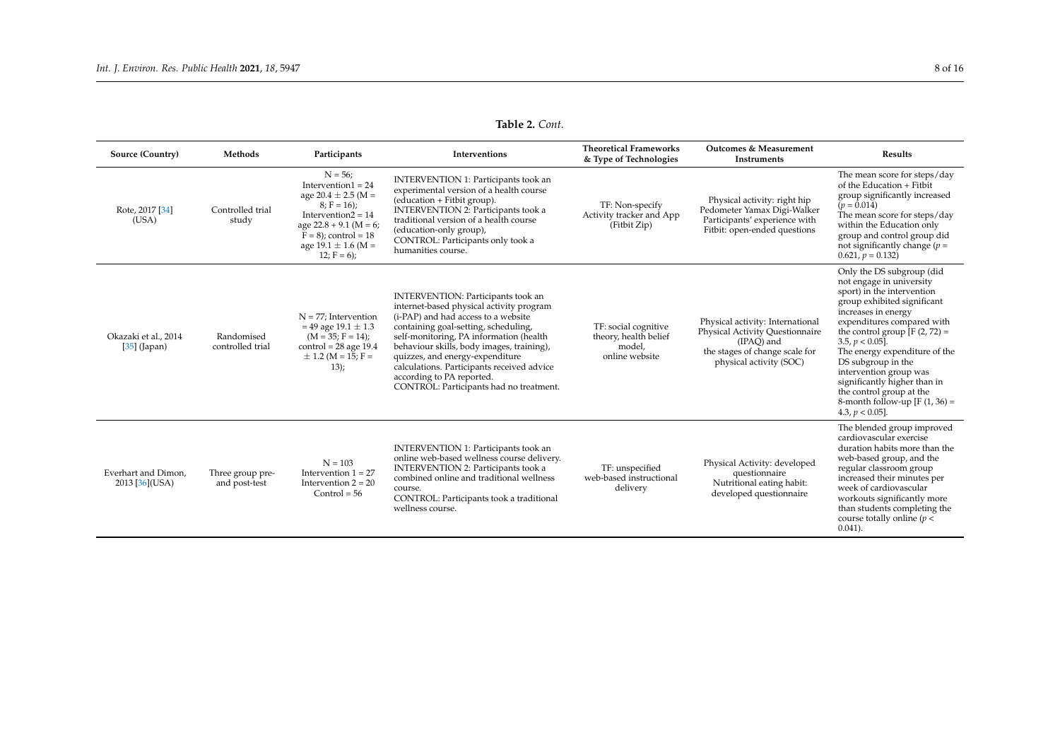**Table 2.** *Cont.*

| Source (Country)                            | Methods                           | Participants                                                                                                                                                                                               | Interventions                                                                                                                                                                                                                                                                                                                                                                                                         | <b>Theoretical Frameworks</b><br>& Type of Technologies                   | <b>Outcomes &amp; Measurement</b><br>Instruments                                                                                               | <b>Results</b>                                                                                                                                                                                                                                                                                                                                                                                                                         |
|---------------------------------------------|-----------------------------------|------------------------------------------------------------------------------------------------------------------------------------------------------------------------------------------------------------|-----------------------------------------------------------------------------------------------------------------------------------------------------------------------------------------------------------------------------------------------------------------------------------------------------------------------------------------------------------------------------------------------------------------------|---------------------------------------------------------------------------|------------------------------------------------------------------------------------------------------------------------------------------------|----------------------------------------------------------------------------------------------------------------------------------------------------------------------------------------------------------------------------------------------------------------------------------------------------------------------------------------------------------------------------------------------------------------------------------------|
| Rote, 2017 [34]<br>(USA)                    | Controlled trial<br>study         | $N = 56$ ;<br>Intervention $1 = 24$<br>age 20.4 $\pm$ 2.5 (M =<br>$8; F = 16);$<br>Intervention $2 = 14$<br>age $22.8 + 9.1$ (M = 6;<br>$F = 8$ ; control = 18<br>age $19.1 \pm 1.6$ (M =<br>$12; F = 6);$ | INTERVENTION 1: Participants took an<br>experimental version of a health course<br>(education + Fitbit group).<br><b>INTERVENTION 2: Participants took a</b><br>traditional version of a health course<br>(education-only group),<br>CONTROL: Participants only took a<br>humanities course.                                                                                                                          | TF: Non-specify<br>Activity tracker and App<br>(Fitbit Zip)               | Physical activity: right hip<br>Pedometer Yamax Digi-Walker<br>Participants' experience with<br>Fitbit: open-ended questions                   | The mean score for steps/day<br>of the Education + Fitbit<br>group significantly increased<br>$(p = 0.014)$<br>The mean score for steps/day<br>within the Education only<br>group and control group did<br>not significantly change ( $p =$<br>$0.621, p = 0.132$                                                                                                                                                                      |
| Okazaki et al., 2014<br>$[35]$ (Japan)      | Randomised<br>controlled trial    | $N = 77$ ; Intervention<br>$= 49$ age $19.1 \pm 1.3$<br>$(M = 35; F = 14);$<br>$control = 28 age 19.4$<br>$\pm$ 1.2 (M = 15; F =<br>$13$ :                                                                 | <b>INTERVENTION: Participants took an</b><br>internet-based physical activity program<br>(i-PAP) and had access to a website<br>containing goal-setting, scheduling,<br>self-monitoring, PA information (health<br>behaviour skills, body images, training),<br>quizzes, and energy-expenditure<br>calculations. Participants received advice<br>according to PA reported.<br>CONTROL: Participants had no treatment. | TF: social cognitive<br>theory, health belief<br>model,<br>online website | Physical activity: International<br>Physical Activity Questionnaire<br>(IPAO) and<br>the stages of change scale for<br>physical activity (SOC) | Only the DS subgroup (did<br>not engage in university<br>sport) in the intervention<br>group exhibited significant<br>increases in energy<br>expenditures compared with<br>the control group $[F(2, 72) =$<br>$3.5, p < 0.05$ ].<br>The energy expenditure of the<br>DS subgroup in the<br>intervention group was<br>significantly higher than in<br>the control group at the<br>8-month follow-up $[F(1, 36) =$<br>4.3, $p < 0.05$ ]. |
| Everhart and Dimon.<br>$2013$ [ $36$ ](USA) | Three group pre-<br>and post-test | $N = 103$<br>Intervention $1 = 27$<br>Intervention $2 = 20$<br>$Control = 56$                                                                                                                              | INTERVENTION 1: Participants took an<br>online web-based wellness course delivery.<br>INTERVENTION 2: Participants took a<br>combined online and traditional wellness<br>course.<br>CONTROL: Participants took a traditional<br>wellness course.                                                                                                                                                                      | TF: unspecified<br>web-based instructional<br>delivery                    | Physical Activity: developed<br>questionnaire<br>Nutritional eating habit:<br>developed questionnaire                                          | The blended group improved<br>cardiovascular exercise<br>duration habits more than the<br>web-based group, and the<br>regular classroom group<br>increased their minutes per<br>week of cardiovascular<br>workouts significantly more<br>than students completing the<br>course totally online ( $p <$<br>$0.041$ ).                                                                                                                   |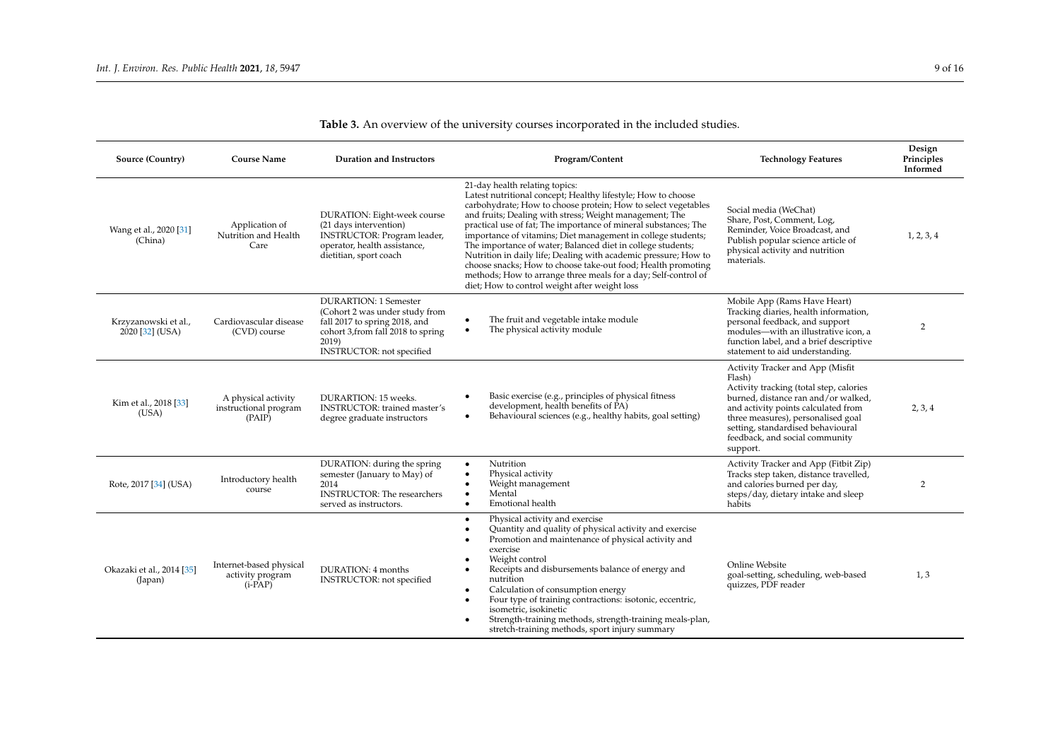<span id="page-8-0"></span>

| Source (Country)                          | <b>Course Name</b>                                       | <b>Duration and Instructors</b>                                                                                                                                                    | Program/Content                                                                                                                                                                                                                                                                                                                                                                                                                                                                                                                                                                                                                                                                    | <b>Technology Features</b>                                                                                                                                                                                                                                                                   | Design<br>Principles<br>Informed |
|-------------------------------------------|----------------------------------------------------------|------------------------------------------------------------------------------------------------------------------------------------------------------------------------------------|------------------------------------------------------------------------------------------------------------------------------------------------------------------------------------------------------------------------------------------------------------------------------------------------------------------------------------------------------------------------------------------------------------------------------------------------------------------------------------------------------------------------------------------------------------------------------------------------------------------------------------------------------------------------------------|----------------------------------------------------------------------------------------------------------------------------------------------------------------------------------------------------------------------------------------------------------------------------------------------|----------------------------------|
| Wang et al., 2020 [31]<br>(China)         | Application of<br>Nutrition and Health<br>Care           | DURATION: Eight-week course<br>(21 days intervention)<br><b>INSTRUCTOR: Program leader,</b><br>operator, health assistance,<br>dietitian, sport coach                              | 21-day health relating topics:<br>Latest nutritional concept; Healthy lifestyle; How to choose<br>carbohydrate; How to choose protein; How to select vegetables<br>and fruits; Dealing with stress; Weight management; The<br>practical use of fat; The importance of mineral substances; The<br>importance of vitamins; Diet management in college students;<br>The importance of water; Balanced diet in college students;<br>Nutrition in daily life; Dealing with academic pressure; How to<br>choose snacks; How to choose take-out food; Health promoting<br>methods; How to arrange three meals for a day; Self-control of<br>diet; How to control weight after weight loss | Social media (WeChat)<br>Share, Post, Comment, Log,<br>Reminder, Voice Broadcast, and<br>Publish popular science article of<br>physical activity and nutrition<br>materials.                                                                                                                 | 1, 2, 3, 4                       |
| Krzyzanowski et al.,<br>$2020$ [32] (USA) | Cardiovascular disease<br>(CVD) course                   | <b>DURARTION: 1 Semester</b><br>(Cohort 2 was under study from<br>fall 2017 to spring 2018, and<br>cohort 3, from fall 2018 to spring<br>2019)<br><b>INSTRUCTOR:</b> not specified | The fruit and vegetable intake module<br>$\bullet$<br>The physical activity module<br>$\bullet$                                                                                                                                                                                                                                                                                                                                                                                                                                                                                                                                                                                    | Mobile App (Rams Have Heart)<br>Tracking diaries, health information,<br>personal feedback, and support<br>modules—with an illustrative icon, a<br>function label, and a brief descriptive<br>statement to aid understanding.                                                                | $\overline{2}$                   |
| Kim et al., 2018 [33]<br>(USA)            | A physical activity<br>instructional program<br>(PAIP)   | DURARTION: 15 weeks.<br><b>INSTRUCTOR:</b> trained master's<br>degree graduate instructors                                                                                         | Basic exercise (e.g., principles of physical fitness<br>٠<br>development, health benefits of PA)<br>Behavioural sciences (e.g., healthy habits, goal setting)<br>$\bullet$                                                                                                                                                                                                                                                                                                                                                                                                                                                                                                         | Activity Tracker and App (Misfit<br>Flash)<br>Activity tracking (total step, calories<br>burned, distance ran and/or walked,<br>and activity points calculated from<br>three measures), personalised goal<br>setting, standardised behavioural<br>feedback, and social community<br>support. | 2, 3, 4                          |
| Rote, 2017 [34] (USA)                     | Introductory health<br>course                            | DURATION: during the spring<br>semester (January to May) of<br>2014<br><b>INSTRUCTOR:</b> The researchers<br>served as instructors.                                                | Nutrition<br>$\bullet$<br>Physical activity<br>Weight management<br>Mental<br>$\bullet$<br>Emotional health<br>$\bullet$                                                                                                                                                                                                                                                                                                                                                                                                                                                                                                                                                           | Activity Tracker and App (Fitbit Zip)<br>Tracks step taken, distance travelled,<br>and calories burned per day,<br>steps/day, dietary intake and sleep<br>habits                                                                                                                             | $\overline{2}$                   |
| Okazaki et al., 2014 [35]<br>(Japan)      | Internet-based physical<br>activity program<br>$(i-PAP)$ | DURATION: 4 months<br><b>INSTRUCTOR:</b> not specified                                                                                                                             | Physical activity and exercise<br>$\bullet$<br>Quantity and quality of physical activity and exercise<br>Promotion and maintenance of physical activity and<br>exercise<br>Weight control<br>Receipts and disbursements balance of energy and<br>nutrition<br>Calculation of consumption energy<br>Four type of training contractions: isotonic, eccentric,<br>isometric, isokinetic<br>Strength-training methods, strength-training meals-plan,<br>stretch-training methods, sport injury summary                                                                                                                                                                                 | Online Website<br>goal-setting, scheduling, web-based<br>quizzes, PDF reader                                                                                                                                                                                                                 | 1, 3                             |

# **Table 3.** An overview of the university courses incorporated in the included studies.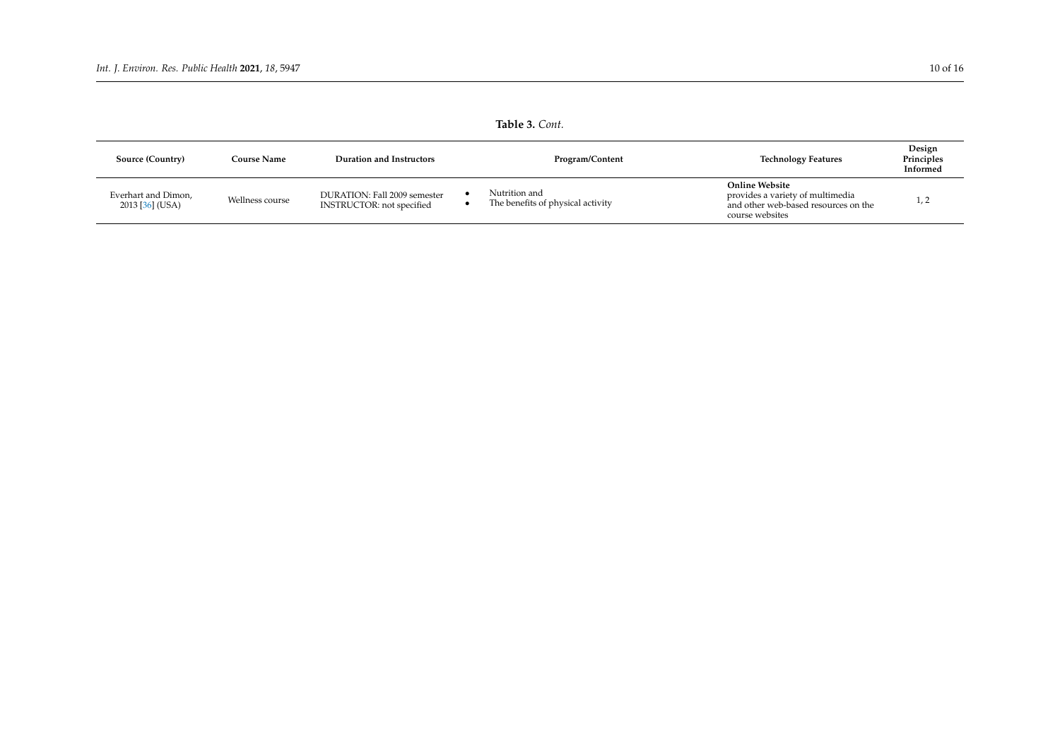| Table 3. Cont.                         |                    |                                                                  |  |                                                    |                                                                                                                      |                                  |  |  |  |  |
|----------------------------------------|--------------------|------------------------------------------------------------------|--|----------------------------------------------------|----------------------------------------------------------------------------------------------------------------------|----------------------------------|--|--|--|--|
| Source (Country)                       | <b>Course Name</b> | <b>Duration and Instructors</b>                                  |  | Program/Content                                    | <b>Technology Features</b>                                                                                           | Design<br>Principles<br>Informed |  |  |  |  |
| Everhart and Dimon,<br>2013 [36] (USA) | Wellness course    | DURATION: Fall 2009 semester<br><b>INSTRUCTOR:</b> not specified |  | Nutrition and<br>The benefits of physical activity | <b>Online Website</b><br>provides a variety of multimedia<br>and other web-based resources on the<br>course websites | $\perp$ , $\perp$                |  |  |  |  |

**Table 3.** *Cont.*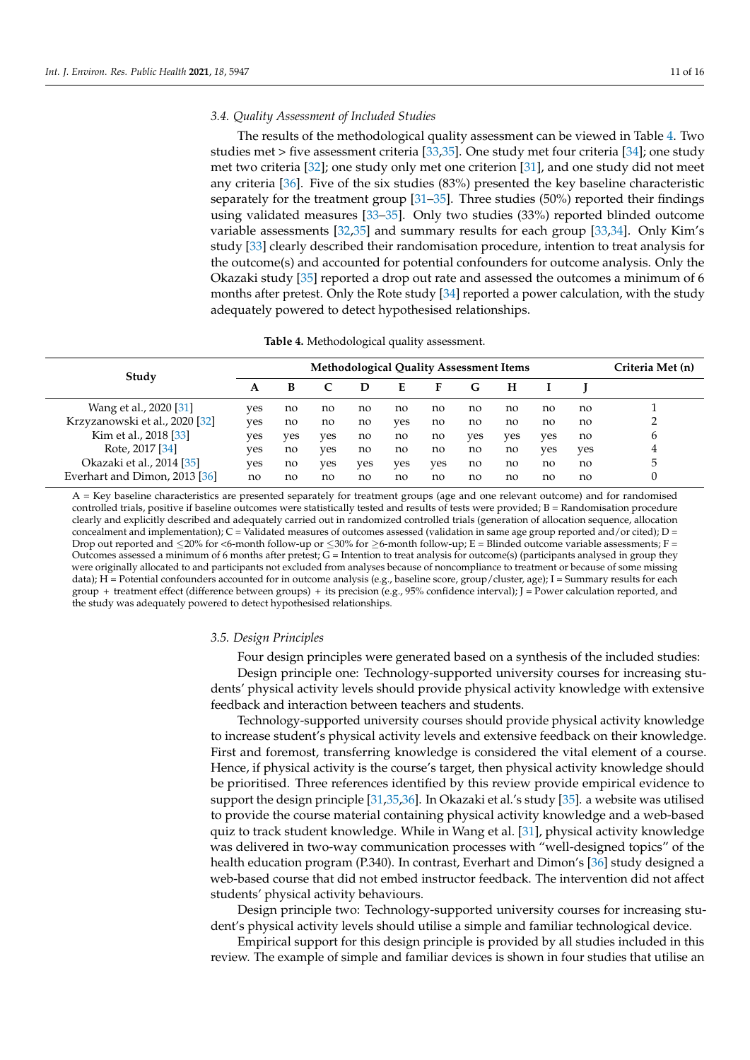## *3.4. Quality Assessment of Included Studies*

The results of the methodological quality assessment can be viewed in Table [4.](#page-10-0) Two studies met > five assessment criteria [\[33](#page-15-7)[,35\]](#page-15-6). One study met four criteria [\[34\]](#page-15-5); one study met two criteria [\[32\]](#page-15-4); one study only met one criterion [\[31\]](#page-15-2), and one study did not meet any criteria [\[36\]](#page-15-3). Five of the six studies (83%) presented the key baseline characteristic separately for the treatment group [\[31](#page-15-2)[–35\]](#page-15-6). Three studies (50%) reported their findings using validated measures [\[33](#page-15-7)[–35\]](#page-15-6). Only two studies (33%) reported blinded outcome variable assessments [\[32,](#page-15-4)[35\]](#page-15-6) and summary results for each group [\[33](#page-15-7)[,34\]](#page-15-5). Only Kim's study [\[33\]](#page-15-7) clearly described their randomisation procedure, intention to treat analysis for the outcome(s) and accounted for potential confounders for outcome analysis. Only the Okazaki study [\[35\]](#page-15-6) reported a drop out rate and assessed the outcomes a minimum of 6 months after pretest. Only the Rote study [\[34\]](#page-15-5) reported a power calculation, with the study adequately powered to detect hypothesised relationships.

| <b>Table 4.</b> Methodological quality assessment. |  |
|----------------------------------------------------|--|
|----------------------------------------------------|--|

<span id="page-10-0"></span>

| Study                          | <b>Methodological Quality Assessment Items</b> |     |     |     |     |     |     |     | Criteria Met (n) |     |   |
|--------------------------------|------------------------------------------------|-----|-----|-----|-----|-----|-----|-----|------------------|-----|---|
|                                | A                                              | в   |     | D   | E   | F   | G   | H   |                  |     |   |
| Wang et al., 2020 [31]         | ves                                            | no  | no  | no  | no  | no  | no  | no  | no               | no  |   |
| Krzyzanowski et al., 2020 [32] | ves                                            | no  | no  | no  | yes | no  | no  | no  | no               | no  |   |
| Kim et al., 2018 [33]          | ves                                            | ves | ves | no  | no  | no  | yes | ves | ves              | no  | 6 |
| Rote, 2017 [34]                | ves                                            | no  | ves | no  | no  | no  | no  | no  | ves              | yes | 4 |
| Okazaki et al., 2014 [35]      | ves                                            | no  | ves | ves | yes | yes | no  | no  | no               | no  | 5 |
| Everhart and Dimon, 2013 [36]  | no                                             | no  | no  | no  | no  | no  | no  | no  | no               | no  |   |

A = Key baseline characteristics are presented separately for treatment groups (age and one relevant outcome) and for randomised controlled trials, positive if baseline outcomes were statistically tested and results of tests were provided; B = Randomisation procedure clearly and explicitly described and adequately carried out in randomized controlled trials (generation of allocation sequence, allocation concealment and implementation); C = Validated measures of outcomes assessed (validation in same age group reported and/or cited); D = Drop out reported and  $\leq$ 20% for  $\lt$ 6-month follow-up or  $\leq$ 30% for  $\geq$ 6-month follow-up; E = Blinded outcome variable assessments; F = Outcomes assessed a minimum of 6 months after pretest; G = Intention to treat analysis for outcome(s) (participants analysed in group they were originally allocated to and participants not excluded from analyses because of noncompliance to treatment or because of some missing data);  $H =$  Potential confounders accounted for in outcome analysis (e.g., baseline score, group/cluster, age); I = Summary results for each group + treatment effect (difference between groups) + its precision (e.g., 95% confidence interval); J = Power calculation reported, and the study was adequately powered to detect hypothesised relationships.

#### *3.5. Design Principles*

Four design principles were generated based on a synthesis of the included studies: Design principle one: Technology-supported university courses for increasing students' physical activity levels should provide physical activity knowledge with extensive feedback and interaction between teachers and students.

Technology-supported university courses should provide physical activity knowledge to increase student's physical activity levels and extensive feedback on their knowledge. First and foremost, transferring knowledge is considered the vital element of a course. Hence, if physical activity is the course's target, then physical activity knowledge should be prioritised. Three references identified by this review provide empirical evidence to support the design principle [\[31](#page-15-2)[,35](#page-15-6)[,36\]](#page-15-3). In Okazaki et al.'s study [\[35\]](#page-15-6). a website was utilised to provide the course material containing physical activity knowledge and a web-based quiz to track student knowledge. While in Wang et al. [\[31\]](#page-15-2), physical activity knowledge was delivered in two-way communication processes with "well-designed topics" of the health education program (P.340). In contrast, Everhart and Dimon's [\[36\]](#page-15-3) study designed a web-based course that did not embed instructor feedback. The intervention did not affect students' physical activity behaviours.

Design principle two: Technology-supported university courses for increasing student's physical activity levels should utilise a simple and familiar technological device.

Empirical support for this design principle is provided by all studies included in this review. The example of simple and familiar devices is shown in four studies that utilise an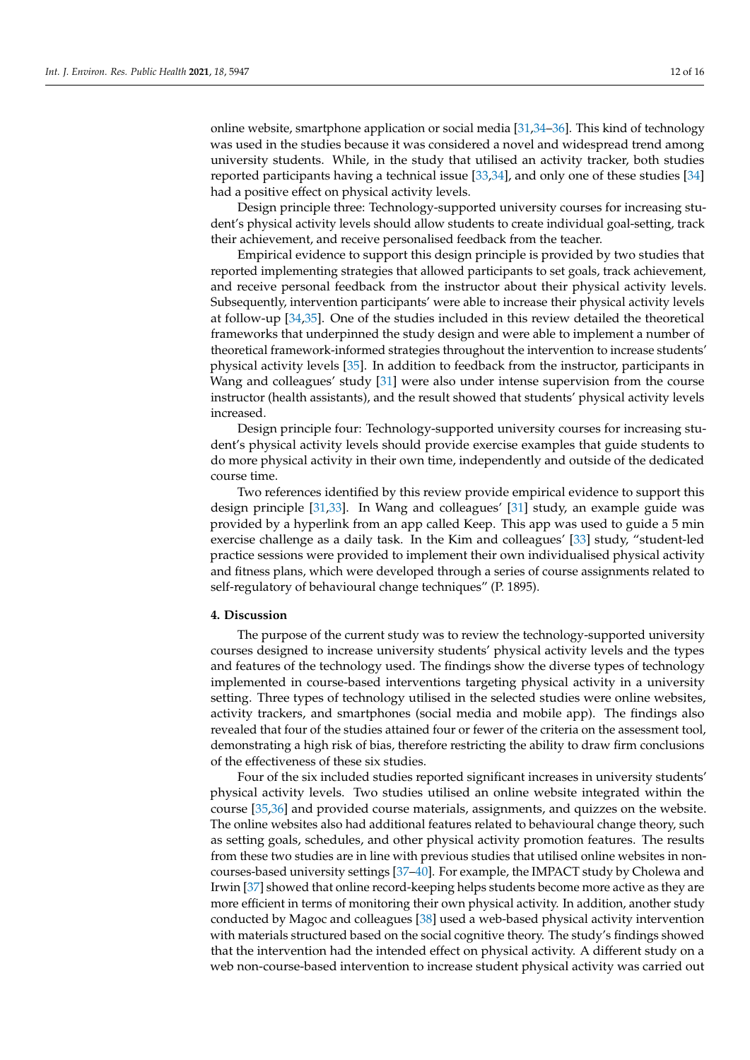online website, smartphone application or social media [\[31,](#page-15-2)[34–](#page-15-5)[36\]](#page-15-3). This kind of technology was used in the studies because it was considered a novel and widespread trend among university students. While, in the study that utilised an activity tracker, both studies reported participants having a technical issue [\[33](#page-15-7)[,34\]](#page-15-5), and only one of these studies [\[34\]](#page-15-5) had a positive effect on physical activity levels.

Design principle three: Technology-supported university courses for increasing student's physical activity levels should allow students to create individual goal-setting, track their achievement, and receive personalised feedback from the teacher.

Empirical evidence to support this design principle is provided by two studies that reported implementing strategies that allowed participants to set goals, track achievement, and receive personal feedback from the instructor about their physical activity levels. Subsequently, intervention participants' were able to increase their physical activity levels at follow-up [\[34](#page-15-5)[,35\]](#page-15-6). One of the studies included in this review detailed the theoretical frameworks that underpinned the study design and were able to implement a number of theoretical framework-informed strategies throughout the intervention to increase students' physical activity levels [\[35\]](#page-15-6). In addition to feedback from the instructor, participants in Wang and colleagues' study [\[31\]](#page-15-2) were also under intense supervision from the course instructor (health assistants), and the result showed that students' physical activity levels increased.

Design principle four: Technology-supported university courses for increasing student's physical activity levels should provide exercise examples that guide students to do more physical activity in their own time, independently and outside of the dedicated course time.

Two references identified by this review provide empirical evidence to support this design principle [\[31](#page-15-2)[,33\]](#page-15-7). In Wang and colleagues' [\[31\]](#page-15-2) study, an example guide was provided by a hyperlink from an app called Keep. This app was used to guide a 5 min exercise challenge as a daily task. In the Kim and colleagues' [\[33\]](#page-15-7) study, "student-led practice sessions were provided to implement their own individualised physical activity and fitness plans, which were developed through a series of course assignments related to self-regulatory of behavioural change techniques" (P. 1895).

# **4. Discussion**

The purpose of the current study was to review the technology-supported university courses designed to increase university students' physical activity levels and the types and features of the technology used. The findings show the diverse types of technology implemented in course-based interventions targeting physical activity in a university setting. Three types of technology utilised in the selected studies were online websites, activity trackers, and smartphones (social media and mobile app). The findings also revealed that four of the studies attained four or fewer of the criteria on the assessment tool, demonstrating a high risk of bias, therefore restricting the ability to draw firm conclusions of the effectiveness of these six studies.

Four of the six included studies reported significant increases in university students' physical activity levels. Two studies utilised an online website integrated within the course [\[35](#page-15-6)[,36\]](#page-15-3) and provided course materials, assignments, and quizzes on the website. The online websites also had additional features related to behavioural change theory, such as setting goals, schedules, and other physical activity promotion features. The results from these two studies are in line with previous studies that utilised online websites in noncourses-based university settings [\[37–](#page-15-14)[40\]](#page-15-15). For example, the IMPACT study by Cholewa and Irwin [\[37\]](#page-15-14) showed that online record-keeping helps students become more active as they are more efficient in terms of monitoring their own physical activity. In addition, another study conducted by Magoc and colleagues [\[38\]](#page-15-16) used a web-based physical activity intervention with materials structured based on the social cognitive theory. The study's findings showed that the intervention had the intended effect on physical activity. A different study on a web non-course-based intervention to increase student physical activity was carried out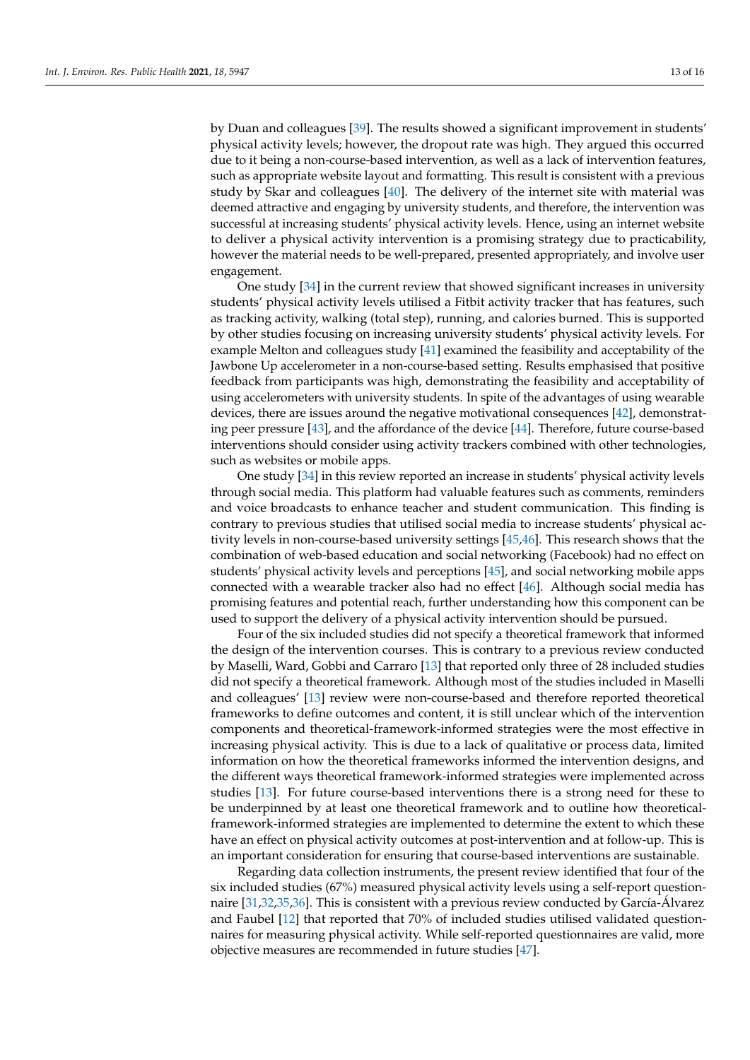by Duan and colleagues [\[39\]](#page-15-17). The results showed a significant improvement in students' physical activity levels; however, the dropout rate was high. They argued this occurred due to it being a non-course-based intervention, as well as a lack of intervention features, such as appropriate website layout and formatting. This result is consistent with a previous study by Skar and colleagues [\[40\]](#page-15-15). The delivery of the internet site with material was deemed attractive and engaging by university students, and therefore, the intervention was successful at increasing students' physical activity levels. Hence, using an internet website to deliver a physical activity intervention is a promising strategy due to practicability, however the material needs to be well-prepared, presented appropriately, and involve user engagement.

One study [\[34\]](#page-15-5) in the current review that showed significant increases in university students' physical activity levels utilised a Fitbit activity tracker that has features, such as tracking activity, walking (total step), running, and calories burned. This is supported by other studies focusing on increasing university students' physical activity levels. For example Melton and colleagues study [\[41\]](#page-15-18) examined the feasibility and acceptability of the Jawbone Up accelerometer in a non-course-based setting. Results emphasised that positive feedback from participants was high, demonstrating the feasibility and acceptability of using accelerometers with university students. In spite of the advantages of using wearable devices, there are issues around the negative motivational consequences [\[42\]](#page-15-19), demonstrating peer pressure [\[43\]](#page-15-20), and the affordance of the device [\[44\]](#page-15-21). Therefore, future course-based interventions should consider using activity trackers combined with other technologies, such as websites or mobile apps.

One study [\[34\]](#page-15-5) in this review reported an increase in students' physical activity levels through social media. This platform had valuable features such as comments, reminders and voice broadcasts to enhance teacher and student communication. This finding is contrary to previous studies that utilised social media to increase students' physical activity levels in non-course-based university settings [\[45,](#page-15-22)[46\]](#page-15-23). This research shows that the combination of web-based education and social networking (Facebook) had no effect on students' physical activity levels and perceptions [\[45\]](#page-15-22), and social networking mobile apps connected with a wearable tracker also had no effect [\[46\]](#page-15-23). Although social media has promising features and potential reach, further understanding how this component can be used to support the delivery of a physical activity intervention should be pursued.

Four of the six included studies did not specify a theoretical framework that informed the design of the intervention courses. This is contrary to a previous review conducted by Maselli, Ward, Gobbi and Carraro [\[13\]](#page-14-8) that reported only three of 28 included studies did not specify a theoretical framework. Although most of the studies included in Maselli and colleagues' [\[13\]](#page-14-8) review were non-course-based and therefore reported theoretical frameworks to define outcomes and content, it is still unclear which of the intervention components and theoretical-framework-informed strategies were the most effective in increasing physical activity. This is due to a lack of qualitative or process data, limited information on how the theoretical frameworks informed the intervention designs, and the different ways theoretical framework-informed strategies were implemented across studies [\[13\]](#page-14-8). For future course-based interventions there is a strong need for these to be underpinned by at least one theoretical framework and to outline how theoreticalframework-informed strategies are implemented to determine the extent to which these have an effect on physical activity outcomes at post-intervention and at follow-up. This is an important consideration for ensuring that course-based interventions are sustainable.

Regarding data collection instruments, the present review identified that four of the six included studies (67%) measured physical activity levels using a self-report questionnaire [\[31](#page-15-2)[,32](#page-15-4)[,35](#page-15-6)[,36\]](#page-15-3). This is consistent with a previous review conducted by García-Álvarez and Faubel [\[12\]](#page-14-9) that reported that 70% of included studies utilised validated questionnaires for measuring physical activity. While self-reported questionnaires are valid, more objective measures are recommended in future studies [\[47\]](#page-15-24).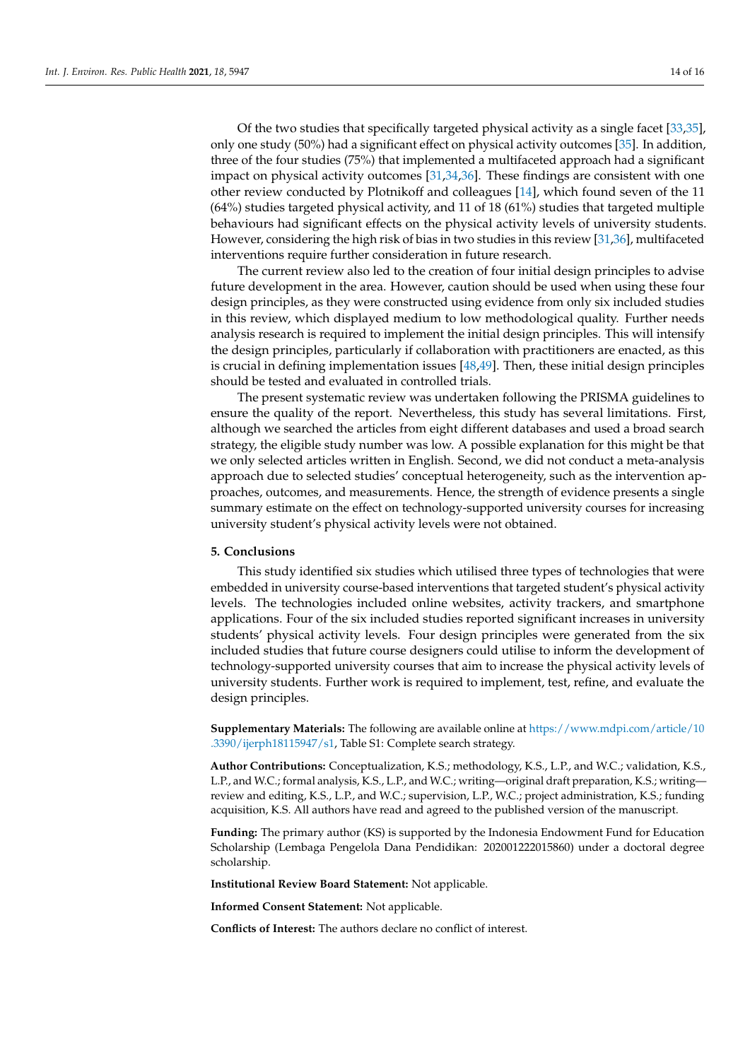Of the two studies that specifically targeted physical activity as a single facet [\[33,](#page-15-7)[35\]](#page-15-6), only one study (50%) had a significant effect on physical activity outcomes [\[35\]](#page-15-6). In addition, three of the four studies (75%) that implemented a multifaceted approach had a significant impact on physical activity outcomes [\[31](#page-15-2)[,34](#page-15-5)[,36\]](#page-15-3). These findings are consistent with one other review conducted by Plotnikoff and colleagues [\[14\]](#page-14-7), which found seven of the 11 (64%) studies targeted physical activity, and 11 of 18 (61%) studies that targeted multiple behaviours had significant effects on the physical activity levels of university students. However, considering the high risk of bias in two studies in this review [\[31,](#page-15-2)[36\]](#page-15-3), multifaceted interventions require further consideration in future research.

The current review also led to the creation of four initial design principles to advise future development in the area. However, caution should be used when using these four design principles, as they were constructed using evidence from only six included studies in this review, which displayed medium to low methodological quality. Further needs analysis research is required to implement the initial design principles. This will intensify the design principles, particularly if collaboration with practitioners are enacted, as this is crucial in defining implementation issues  $[48,49]$  $[48,49]$ . Then, these initial design principles should be tested and evaluated in controlled trials.

The present systematic review was undertaken following the PRISMA guidelines to ensure the quality of the report. Nevertheless, this study has several limitations. First, although we searched the articles from eight different databases and used a broad search strategy, the eligible study number was low. A possible explanation for this might be that we only selected articles written in English. Second, we did not conduct a meta-analysis approach due to selected studies' conceptual heterogeneity, such as the intervention approaches, outcomes, and measurements. Hence, the strength of evidence presents a single summary estimate on the effect on technology-supported university courses for increasing university student's physical activity levels were not obtained.

# **5. Conclusions**

This study identified six studies which utilised three types of technologies that were embedded in university course-based interventions that targeted student's physical activity levels. The technologies included online websites, activity trackers, and smartphone applications. Four of the six included studies reported significant increases in university students' physical activity levels. Four design principles were generated from the six included studies that future course designers could utilise to inform the development of technology-supported university courses that aim to increase the physical activity levels of university students. Further work is required to implement, test, refine, and evaluate the design principles.

**Supplementary Materials:** The following are available online at [https://www.mdpi.com/article/10](https://www.mdpi.com/article/10.3390/ijerph18115947/s1) [.3390/ijerph18115947/s1,](https://www.mdpi.com/article/10.3390/ijerph18115947/s1) Table S1: Complete search strategy.

**Author Contributions:** Conceptualization, K.S.; methodology, K.S., L.P., and W.C.; validation, K.S., L.P., and W.C.; formal analysis, K.S., L.P., and W.C.; writing—original draft preparation, K.S.; writing review and editing, K.S., L.P., and W.C.; supervision, L.P., W.C.; project administration, K.S.; funding acquisition, K.S. All authors have read and agreed to the published version of the manuscript.

**Funding:** The primary author (KS) is supported by the Indonesia Endowment Fund for Education Scholarship (Lembaga Pengelola Dana Pendidikan: 202001222015860) under a doctoral degree scholarship.

**Institutional Review Board Statement:** Not applicable.

**Informed Consent Statement:** Not applicable.

**Conflicts of Interest:** The authors declare no conflict of interest.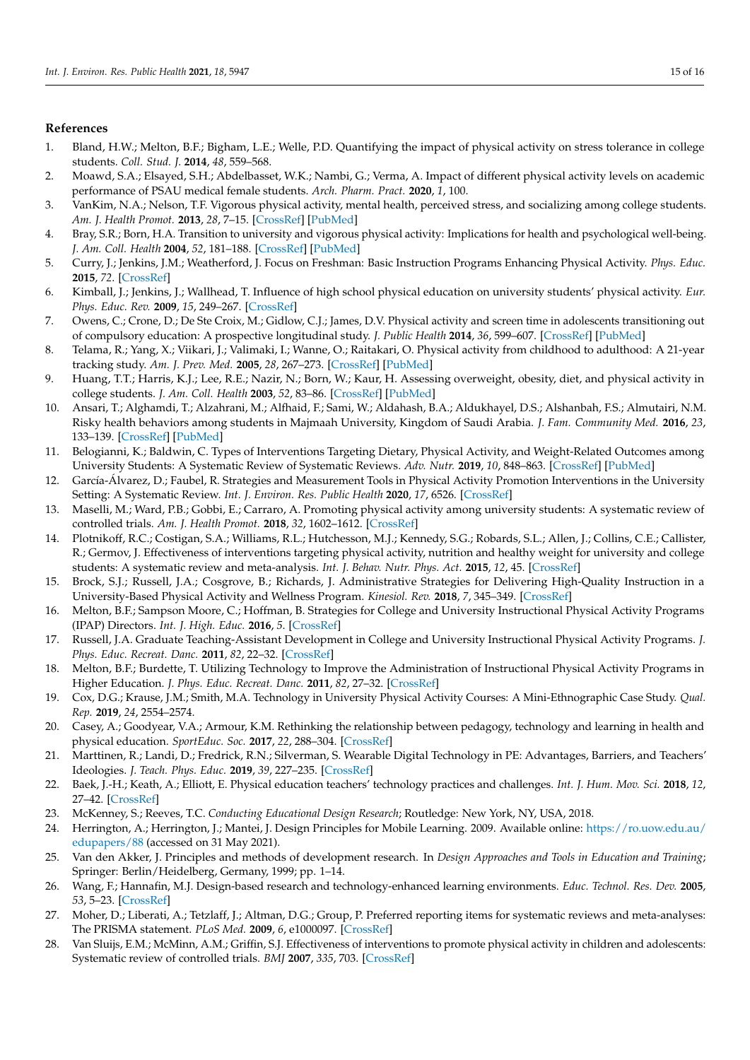# **References**

- <span id="page-14-0"></span>1. Bland, H.W.; Melton, B.F.; Bigham, L.E.; Welle, P.D. Quantifying the impact of physical activity on stress tolerance in college students. *Coll. Stud. J.* **2014**, *48*, 559–568.
- 2. Moawd, S.A.; Elsayed, S.H.; Abdelbasset, W.K.; Nambi, G.; Verma, A. Impact of different physical activity levels on academic performance of PSAU medical female students. *Arch. Pharm. Pract.* **2020**, *1*, 100.
- <span id="page-14-1"></span>3. VanKim, N.A.; Nelson, T.F. Vigorous physical activity, mental health, perceived stress, and socializing among college students. *Am. J. Health Promot.* **2013**, *28*, 7–15. [\[CrossRef\]](http://doi.org/10.4278/ajhp.111101-QUAN-395) [\[PubMed\]](http://www.ncbi.nlm.nih.gov/pubmed/23470187)
- <span id="page-14-2"></span>4. Bray, S.R.; Born, H.A. Transition to university and vigorous physical activity: Implications for health and psychological well-being. *J. Am. Coll. Health* **2004**, *52*, 181–188. [\[CrossRef\]](http://doi.org/10.3200/JACH.52.4.181-188) [\[PubMed\]](http://www.ncbi.nlm.nih.gov/pubmed/15018429)
- 5. Curry, J.; Jenkins, J.M.; Weatherford, J. Focus on Freshman: Basic Instruction Programs Enhancing Physical Activity. *Phys. Educ.* **2015**, *72*. [\[CrossRef\]](http://doi.org/10.18666/tpe-2015-v72-i4-6472)
- 6. Kimball, J.; Jenkins, J.; Wallhead, T. Influence of high school physical education on university students' physical activity. *Eur. Phys. Educ. Rev.* **2009**, *15*, 249–267. [\[CrossRef\]](http://doi.org/10.1177/1356336X09345226)
- 7. Owens, C.; Crone, D.; De Ste Croix, M.; Gidlow, C.J.; James, D.V. Physical activity and screen time in adolescents transitioning out of compulsory education: A prospective longitudinal study. *J. Public Health* **2014**, *36*, 599–607. [\[CrossRef\]](http://doi.org/10.1093/pubmed/fdt123) [\[PubMed\]](http://www.ncbi.nlm.nih.gov/pubmed/24365762)
- <span id="page-14-3"></span>8. Telama, R.; Yang, X.; Viikari, J.; Valimaki, I.; Wanne, O.; Raitakari, O. Physical activity from childhood to adulthood: A 21-year tracking study. *Am. J. Prev. Med.* **2005**, *28*, 267–273. [\[CrossRef\]](http://doi.org/10.1016/j.amepre.2004.12.003) [\[PubMed\]](http://www.ncbi.nlm.nih.gov/pubmed/15766614)
- <span id="page-14-4"></span>9. Huang, T.T.; Harris, K.J.; Lee, R.E.; Nazir, N.; Born, W.; Kaur, H. Assessing overweight, obesity, diet, and physical activity in college students. *J. Am. Coll. Health* **2003**, *52*, 83–86. [\[CrossRef\]](http://doi.org/10.1080/07448480309595728) [\[PubMed\]](http://www.ncbi.nlm.nih.gov/pubmed/14765762)
- <span id="page-14-5"></span>10. Ansari, T.; Alghamdi, T.; Alzahrani, M.; Alfhaid, F.; Sami, W.; Aldahash, B.A.; Aldukhayel, D.S.; Alshanbah, F.S.; Almutairi, N.M. Risky health behaviors among students in Majmaah University, Kingdom of Saudi Arabia. *J. Fam. Community Med.* **2016**, *23*, 133–139. [\[CrossRef\]](http://doi.org/10.4103/2230-8229.189105) [\[PubMed\]](http://www.ncbi.nlm.nih.gov/pubmed/27625578)
- <span id="page-14-6"></span>11. Belogianni, K.; Baldwin, C. Types of Interventions Targeting Dietary, Physical Activity, and Weight-Related Outcomes among University Students: A Systematic Review of Systematic Reviews. *Adv. Nutr.* **2019**, *10*, 848–863. [\[CrossRef\]](http://doi.org/10.1093/advances/nmz027) [\[PubMed\]](http://www.ncbi.nlm.nih.gov/pubmed/31181143)
- <span id="page-14-9"></span>12. García-Álvarez, D.; Faubel, R. Strategies and Measurement Tools in Physical Activity Promotion Interventions in the University Setting: A Systematic Review. *Int. J. Environ. Res. Public Health* **2020**, *17*, 6526. [\[CrossRef\]](http://doi.org/10.3390/ijerph17186526)
- <span id="page-14-8"></span>13. Maselli, M.; Ward, P.B.; Gobbi, E.; Carraro, A. Promoting physical activity among university students: A systematic review of controlled trials. *Am. J. Health Promot.* **2018**, *32*, 1602–1612. [\[CrossRef\]](http://doi.org/10.1177/0890117117753798)
- <span id="page-14-7"></span>14. Plotnikoff, R.C.; Costigan, S.A.; Williams, R.L.; Hutchesson, M.J.; Kennedy, S.G.; Robards, S.L.; Allen, J.; Collins, C.E.; Callister, R.; Germov, J. Effectiveness of interventions targeting physical activity, nutrition and healthy weight for university and college students: A systematic review and meta-analysis. *Int. J. Behav. Nutr. Phys. Act.* **2015**, *12*, 45. [\[CrossRef\]](http://doi.org/10.1186/s12966-015-0203-7)
- <span id="page-14-10"></span>15. Brock, S.J.; Russell, J.A.; Cosgrove, B.; Richards, J. Administrative Strategies for Delivering High-Quality Instruction in a University-Based Physical Activity and Wellness Program. *Kinesiol. Rev.* **2018**, *7*, 345–349. [\[CrossRef\]](http://doi.org/10.1123/kr.2018-0040)
- 16. Melton, B.F.; Sampson Moore, C.; Hoffman, B. Strategies for College and University Instructional Physical Activity Programs (IPAP) Directors. *Int. J. High. Educ.* **2016**, *5*. [\[CrossRef\]](http://doi.org/10.5430/ijhe.v5n1p292)
- 17. Russell, J.A. Graduate Teaching-Assistant Development in College and University Instructional Physical Activity Programs. *J. Phys. Educ. Recreat. Danc.* **2011**, *82*, 22–32. [\[CrossRef\]](http://doi.org/10.1080/07303084.2011.10598610)
- <span id="page-14-11"></span>18. Melton, B.F.; Burdette, T. Utilizing Technology to Improve the Administration of Instructional Physical Activity Programs in Higher Education. *J. Phys. Educ. Recreat. Danc.* **2011**, *82*, 27–32. [\[CrossRef\]](http://doi.org/10.1080/07303084.2011.10598611)
- <span id="page-14-12"></span>19. Cox, D.G.; Krause, J.M.; Smith, M.A. Technology in University Physical Activity Courses: A Mini-Ethnographic Case Study. *Qual. Rep.* **2019**, *24*, 2554–2574.
- <span id="page-14-13"></span>20. Casey, A.; Goodyear, V.A.; Armour, K.M. Rethinking the relationship between pedagogy, technology and learning in health and physical education. *SportEduc. Soc.* **2017**, *22*, 288–304. [\[CrossRef\]](http://doi.org/10.1080/13573322.2016.1226792)
- <span id="page-14-14"></span>21. Marttinen, R.; Landi, D.; Fredrick, R.N.; Silverman, S. Wearable Digital Technology in PE: Advantages, Barriers, and Teachers' Ideologies. *J. Teach. Phys. Educ.* **2019**, *39*, 227–235. [\[CrossRef\]](http://doi.org/10.1123/jtpe.2018-0240)
- <span id="page-14-15"></span>22. Baek, J.-H.; Keath, A.; Elliott, E. Physical education teachers' technology practices and challenges. *Int. J. Hum. Mov. Sci.* **2018**, *12*, 27–42. [\[CrossRef\]](http://doi.org/10.23949/ijhms.2018.08.12.2.2)
- <span id="page-14-16"></span>23. McKenney, S.; Reeves, T.C. *Conducting Educational Design Research*; Routledge: New York, NY, USA, 2018.
- <span id="page-14-17"></span>24. Herrington, A.; Herrington, J.; Mantei, J. Design Principles for Mobile Learning. 2009. Available online: [https://ro.uow.edu.au/](https://ro.uow.edu.au/edupapers/88) [edupapers/88](https://ro.uow.edu.au/edupapers/88) (accessed on 31 May 2021).
- <span id="page-14-18"></span>25. Van den Akker, J. Principles and methods of development research. In *Design Approaches and Tools in Education and Training*; Springer: Berlin/Heidelberg, Germany, 1999; pp. 1–14.
- <span id="page-14-19"></span>26. Wang, F.; Hannafin, M.J. Design-based research and technology-enhanced learning environments. *Educ. Technol. Res. Dev.* **2005**, *53*, 5–23. [\[CrossRef\]](http://doi.org/10.1007/BF02504682)
- <span id="page-14-20"></span>27. Moher, D.; Liberati, A.; Tetzlaff, J.; Altman, D.G.; Group, P. Preferred reporting items for systematic reviews and meta-analyses: The PRISMA statement. *PLoS Med.* **2009**, *6*, e1000097. [\[CrossRef\]](http://doi.org/10.1371/journal.pmed.1000097)
- <span id="page-14-21"></span>28. Van Sluijs, E.M.; McMinn, A.M.; Griffin, S.J. Effectiveness of interventions to promote physical activity in children and adolescents: Systematic review of controlled trials. *BMJ* **2007**, *335*, 703. [\[CrossRef\]](http://doi.org/10.1136/bmj.39320.843947.BE)